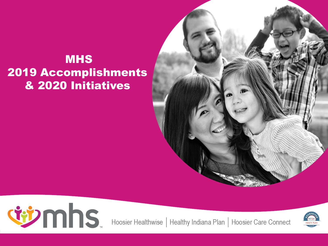#### MHS 2019 Accomplishments & 2020 Initiatives





Hoosier Healthwise | Healthy Indiana Plan | Hoosier Care Connect

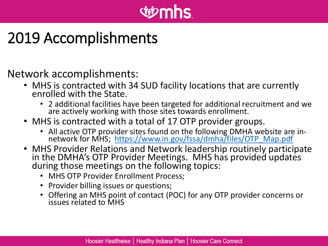# *<u>ii*mhs</u>

## 2019 Accomplishments

#### Network accomplishments:

- MHS is contracted with 34 SUD facility locations that are currently enrolled with the State.
	- 2 additional facilities have been targeted for additional recruitment and we are actively working with those sites towards enrollment.
- MHS is contracted with a total of 17 OTP provider groups.
	- All active OTP provider sites found on the following DMHA website are in-<br>network for MHS; [https://www.in.gov/fssa/dmha/files/OTP\\_Map.pdf](https://www.in.gov/fssa/dmha/files/OTP_Map.pdf)
- MHS Provider Relations and Network leadership routinely participate in the DMHA's OTP Provider Meetings. MHS has provided updates during those meetings on the following topics:
	- MHS OTP Provider Enrollment Process;
	- Provider billing issues or questions;
	- Offering an MHS point of contact (POC) for any OTP provider concerns or issues related to MHS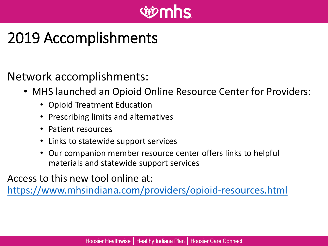# *<u>iiimhs</u>*

## 2019 Accomplishments

Network accomplishments:

- MHS launched an Opioid Online Resource Center for Providers:
	- Opioid Treatment Education
	- Prescribing limits and alternatives
	- Patient resources
	- Links to statewide support services
	- Our companion member resource center offers links to helpful materials and statewide support services

Access to this new tool online at:

<https://www.mhsindiana.com/providers/opioid-resources.html>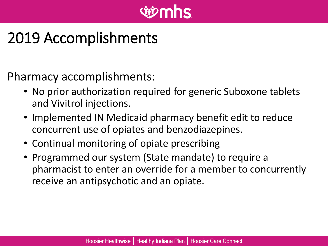# **Givmhs**

## 2019 Accomplishments

Pharmacy accomplishments:

- No prior authorization required for generic Suboxone tablets and Vivitrol injections.
- Implemented IN Medicaid pharmacy benefit edit to reduce concurrent use of opiates and benzodiazepines.
- Continual monitoring of opiate prescribing
- Programmed our system (State mandate) to require a pharmacist to enter an override for a member to concurrently receive an antipsychotic and an opiate.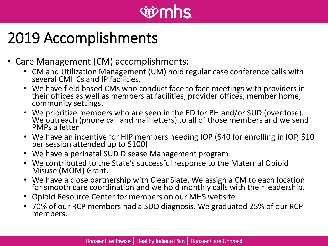# *<u>vienns</u>*

### 2019 Accomplishments

- Care Management (CM) accomplishments:
	- CM and Utilization Management (UM) hold regular case conference calls with several CMHCs and IP facilities.
	- We have field based CMs who conduct face to face meetings with providers in their offices as well as members at facilities, provider offices, member home, community settings.
	- We prioritize members who are seen in the ED for BH and/or SUD (overdose). We outreach (phone call and mail letters) to all of those members and we send PMPs a letter
	- We have an incentive for HIP members needing IOP (\$40 for enrolling in IOP, \$10 per session attended up to \$100)
	- We have a perinatal SUD Disease Management program
	- We contributed to the State's successful response to the Maternal Opioid Misuse (MOM) Grant.
	- We have a close partnership with CleanSlate. We assign a CM to each location for smooth care coordination and we hold monthly calls with their leadership.
	- Opioid Resource Center for members on our MHS website
	- 70% of our RCP members had a SUD diagnosis. We graduated 25% of our RCP members.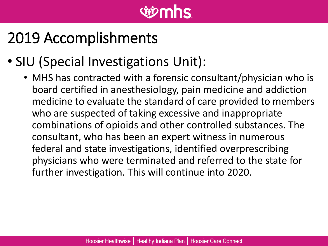# *<u>tiomhs</u>*

## 2019 Accomplishments

#### • SIU (Special Investigations Unit):

• MHS has contracted with a forensic consultant/physician who is board certified in anesthesiology, pain medicine and addiction medicine to evaluate the standard of care provided to members who are suspected of taking excessive and inappropriate combinations of opioids and other controlled substances. The consultant, who has been an expert witness in numerous federal and state investigations, identified overprescribing physicians who were terminated and referred to the state for further investigation. This will continue into 2020.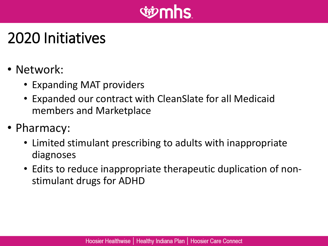

### 2020 Initiatives

- Network:
	- Expanding MAT providers
	- Expanded our contract with CleanSlate for all Medicaid members and Marketplace
- Pharmacy:
	- Limited stimulant prescribing to adults with inappropriate diagnoses
	- Edits to reduce inappropriate therapeutic duplication of nonstimulant drugs for ADHD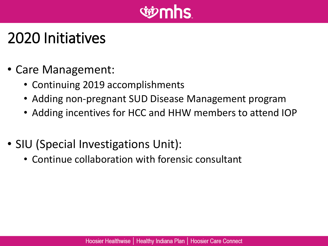

#### 2020 Initiatives

- Care Management:
	- Continuing 2019 accomplishments
	- Adding non-pregnant SUD Disease Management program
	- Adding incentives for HCC and HHW members to attend IOP
- SIU (Special Investigations Unit):
	- Continue collaboration with forensic consultant